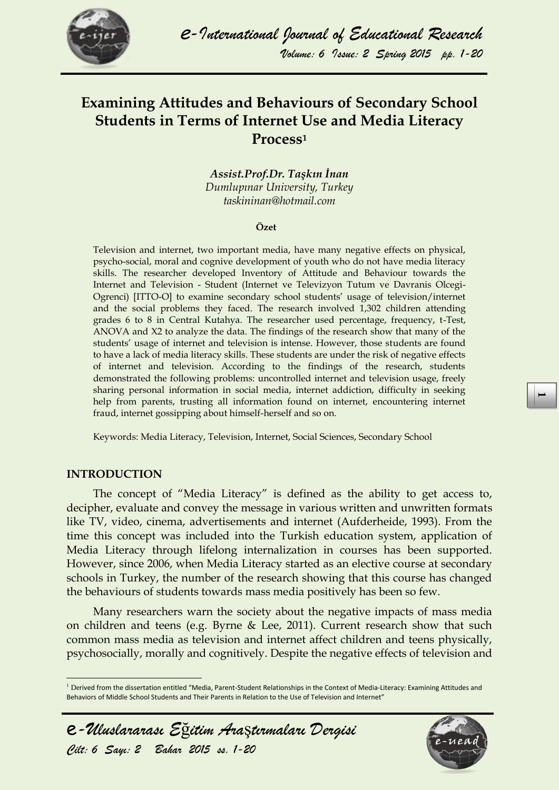

## **Examining Attitudes and Behaviours of Secondary School Students in Terms of Internet Use and Media Literacy Process<sup>1</sup>**

*Assist.Prof.Dr. Taşkın İnan Dumlupınar University, Turkey taskininan@hotmail.com*

#### **Özet**

Television and internet, two important media, have many negative effects on physical, psycho-social, moral and cognive development of youth who do not have media literacy skills. The researcher developed Inventory of Attitude and Behaviour towards the Internet and Television - Student (Internet ve Televizyon Tutum ve Davranis Olcegi-Ogrenci) [ITTO-O] to examine secondary school students' usage of television/internet and the social problems they faced. The research involved 1,302 children attending grades 6 to 8 in Central Kutahya. The researcher used percentage, frequency, t-Test, ANOVA and X2 to analyze the data. The findings of the research show that many of the students' usage of internet and television is intense. However, those students are found to have a lack of media literacy skills. These students are under the risk of negative effects of internet and television. According to the findings of the research, students demonstrated the following problems: uncontrolled internet and television usage, freely sharing personal information in social media, internet addiction, difficulty in seeking help from parents, trusting all information found on internet, encountering internet fraud, internet gossipping about himself-herself and so on.

Keywords: Media Literacy, Television, Internet, Social Sciences, Secondary School

#### **INTRODUCTION**

 $\overline{a}$ 

The concept of "Media Literacy" is defined as the ability to get access to, decipher, evaluate and convey the message in various written and unwritten formats like TV, video, cinema, advertisements and internet (Aufderheide, 1993). From the time this concept was included into the Turkish education system, application of Media Literacy through lifelong internalization in courses has been supported. However, since 2006, when Media Literacy started as an elective course at secondary schools in Turkey, the number of the research showing that this course has changed the behaviours of students towards mass media positively has been so few.

Many researchers warn the society about the negative impacts of mass media on children and teens (e.g. Byrne & Lee, 2011). Current research show that such common mass media as television and internet affect children and teens physically, psychosocially, morally and cognitively. Despite the negative effects of television and

 $1$  Derived from the dissertation entitled "Media. Parent-Student Relationships in the Context of Media-Literacy: Examining Attitudes and Behaviors of Middle School Students and Their Parents in Relation to the Use of Television and Internet"



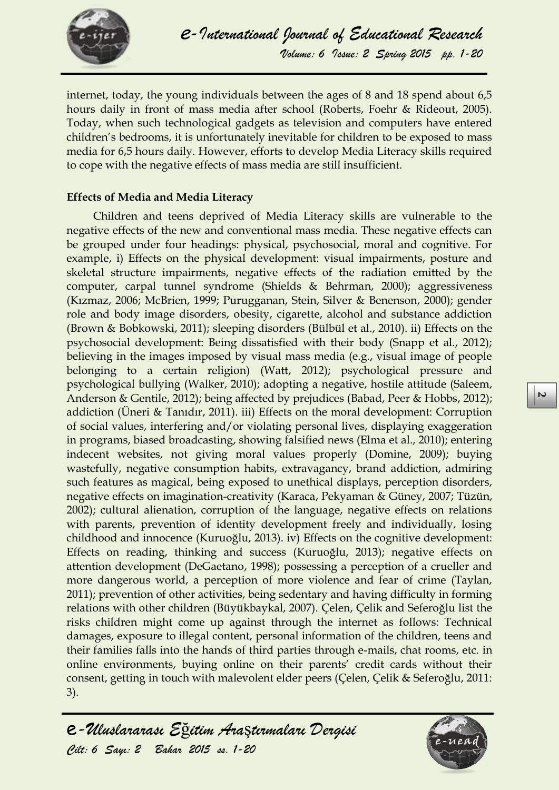

internet, today, the young individuals between the ages of 8 and 18 spend about 6,5 hours daily in front of mass media after school (Roberts, Foehr & Rideout, 2005). Today, when such technological gadgets as television and computers have entered children's bedrooms, it is unfortunately inevitable for children to be exposed to mass media for 6,5 hours daily. However, efforts to develop Media Literacy skills required to cope with the negative effects of mass media are still insufficient.

#### **Effects of Media and Media Literacy**

Children and teens deprived of Media Literacy skills are vulnerable to the negative effects of the new and conventional mass media. These negative effects can be grouped under four headings: physical, psychosocial, moral and cognitive. For example, i) Effects on the physical development: visual impairments, posture and skeletal structure impairments, negative effects of the radiation emitted by the computer, carpal tunnel syndrome (Shields & Behrman, 2000); aggressiveness (Kızmaz, 2006; McBrien, 1999; Purugganan, Stein, Silver & Benenson, 2000); gender role and body image disorders, obesity, cigarette, alcohol and substance addiction (Brown & Bobkowski, 2011); sleeping disorders (Bülbül et al., 2010). ii) Effects on the psychosocial development: Being dissatisfied with their body (Snapp et al., 2012); believing in the images imposed by visual mass media (e.g., visual image of people belonging to a certain religion) (Watt, 2012); psychological pressure and psychological bullying (Walker, 2010); adopting a negative, hostile attitude (Saleem, Anderson & Gentile, 2012); being affected by prejudices (Babad, Peer & Hobbs, 2012); addiction (Üneri & Tanıdır, 2011). iii) Effects on the moral development: Corruption of social values, interfering and/or violating personal lives, displaying exaggeration in programs, biased broadcasting, showing falsified news (Elma et al., 2010); entering indecent websites, not giving moral values properly (Domine, 2009); buying wastefully, negative consumption habits, extravagancy, brand addiction, admiring such features as magical, being exposed to unethical displays, perception disorders, negative effects on imagination-creativity (Karaca, Pekyaman & Güney, 2007; Tüzün, 2002); cultural alienation, corruption of the language, negative effects on relations with parents, prevention of identity development freely and individually, losing childhood and innocence (Kuruoğlu, 2013). iv) Effects on the cognitive development: Effects on reading, thinking and success (Kuruoğlu, 2013); negative effects on attention development (DeGaetano, 1998); possessing a perception of a crueller and more dangerous world, a perception of more violence and fear of crime (Taylan, 2011); prevention of other activities, being sedentary and having difficulty in forming relations with other children (Büyükbaykal, 2007). Çelen, Çelik and Seferoğlu list the risks children might come up against through the internet as follows: Technical damages, exposure to illegal content, personal information of the children, teens and their families falls into the hands of third parties through e-mails, chat rooms, etc. in online environments, buying online on their parents' credit cards without their consent, getting in touch with malevolent elder peers (Çelen, Çelik & Seferoğlu, 2011: 3).

e*-Uluslararası E*ğ*itim Ara*ş*tırmaları Dergisi Cilt: 6 Sayı: 2 Bahar 2015 ss. 1-20* 

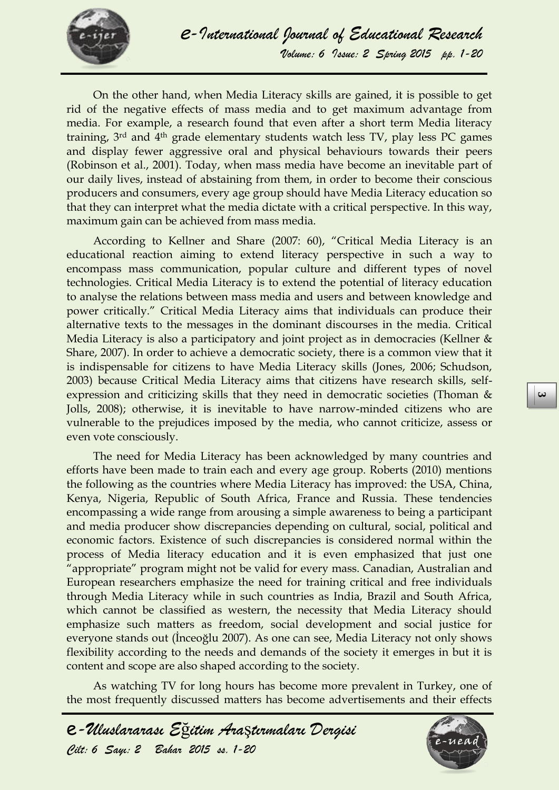

On the other hand, when Media Literacy skills are gained, it is possible to get rid of the negative effects of mass media and to get maximum advantage from media. For example, a research found that even after a short term Media literacy training, 3rd and 4th grade elementary students watch less TV, play less PC games and display fewer aggressive oral and physical behaviours towards their peers (Robinson et al., 2001). Today, when mass media have become an inevitable part of our daily lives, instead of abstaining from them, in order to become their conscious producers and consumers, every age group should have Media Literacy education so that they can interpret what the media dictate with a critical perspective. In this way, maximum gain can be achieved from mass media.

According to Kellner and Share (2007: 60), "Critical Media Literacy is an educational reaction aiming to extend literacy perspective in such a way to encompass mass communication, popular culture and different types of novel technologies. Critical Media Literacy is to extend the potential of literacy education to analyse the relations between mass media and users and between knowledge and power critically." Critical Media Literacy aims that individuals can produce their alternative texts to the messages in the dominant discourses in the media. Critical Media Literacy is also a participatory and joint project as in democracies (Kellner & Share, 2007). In order to achieve a democratic society, there is a common view that it is indispensable for citizens to have Media Literacy skills (Jones, 2006; Schudson, 2003) because Critical Media Literacy aims that citizens have research skills, selfexpression and criticizing skills that they need in democratic societies (Thoman & Jolls, 2008); otherwise, it is inevitable to have narrow-minded citizens who are vulnerable to the prejudices imposed by the media, who cannot criticize, assess or even vote consciously.

The need for Media Literacy has been acknowledged by many countries and efforts have been made to train each and every age group. Roberts (2010) mentions the following as the countries where Media Literacy has improved: the USA, China, Kenya, Nigeria, Republic of South Africa, France and Russia. These tendencies encompassing a wide range from arousing a simple awareness to being a participant and media producer show discrepancies depending on cultural, social, political and economic factors. Existence of such discrepancies is considered normal within the process of Media literacy education and it is even emphasized that just one "appropriate" program might not be valid for every mass. Canadian, Australian and European researchers emphasize the need for training critical and free individuals through Media Literacy while in such countries as India, Brazil and South Africa, which cannot be classified as western, the necessity that Media Literacy should emphasize such matters as freedom, social development and social justice for everyone stands out (İnceoğlu 2007). As one can see, Media Literacy not only shows flexibility according to the needs and demands of the society it emerges in but it is content and scope are also shaped according to the society.

As watching TV for long hours has become more prevalent in Turkey, one of the most frequently discussed matters has become advertisements and their effects

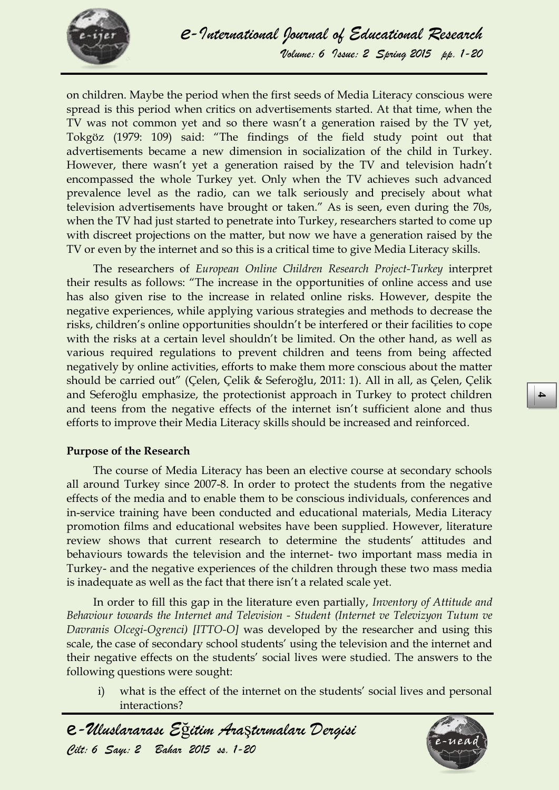

on children. Maybe the period when the first seeds of Media Literacy conscious were spread is this period when critics on advertisements started. At that time, when the TV was not common yet and so there wasn't a generation raised by the TV yet, Tokgöz (1979: 109) said: "The findings of the field study point out that advertisements became a new dimension in socialization of the child in Turkey. However, there wasn't yet a generation raised by the TV and television hadn't encompassed the whole Turkey yet. Only when the TV achieves such advanced prevalence level as the radio, can we talk seriously and precisely about what television advertisements have brought or taken." As is seen, even during the 70s, when the TV had just started to penetrate into Turkey, researchers started to come up with discreet projections on the matter, but now we have a generation raised by the TV or even by the internet and so this is a critical time to give Media Literacy skills.

The researchers of *European Online Children Research Project-Turkey* interpret their results as follows: "The increase in the opportunities of online access and use has also given rise to the increase in related online risks. However, despite the negative experiences, while applying various strategies and methods to decrease the risks, children's online opportunities shouldn't be interfered or their facilities to cope with the risks at a certain level shouldn't be limited. On the other hand, as well as various required regulations to prevent children and teens from being affected negatively by online activities, efforts to make them more conscious about the matter should be carried out" (Çelen, Çelik & Seferoğlu, 2011: 1). All in all, as Çelen, Çelik and Seferoğlu emphasize, the protectionist approach in Turkey to protect children and teens from the negative effects of the internet isn't sufficient alone and thus efforts to improve their Media Literacy skills should be increased and reinforced.

#### **Purpose of the Research**

The course of Media Literacy has been an elective course at secondary schools all around Turkey since 2007-8. In order to protect the students from the negative effects of the media and to enable them to be conscious individuals, conferences and in-service training have been conducted and educational materials, Media Literacy promotion films and educational websites have been supplied. However, literature review shows that current research to determine the students' attitudes and behaviours towards the television and the internet- two important mass media in Turkey- and the negative experiences of the children through these two mass media is inadequate as well as the fact that there isn't a related scale yet.

In order to fill this gap in the literature even partially, *Inventory of Attitude and Behaviour towards the Internet and Television - Student (Internet ve Televizyon Tutum ve Davranis Olcegi-Ogrenci) [ITTO-O]* was developed by the researcher and using this scale, the case of secondary school students' using the television and the internet and their negative effects on the students' social lives were studied. The answers to the following questions were sought:

i) what is the effect of the internet on the students' social lives and personal interactions?



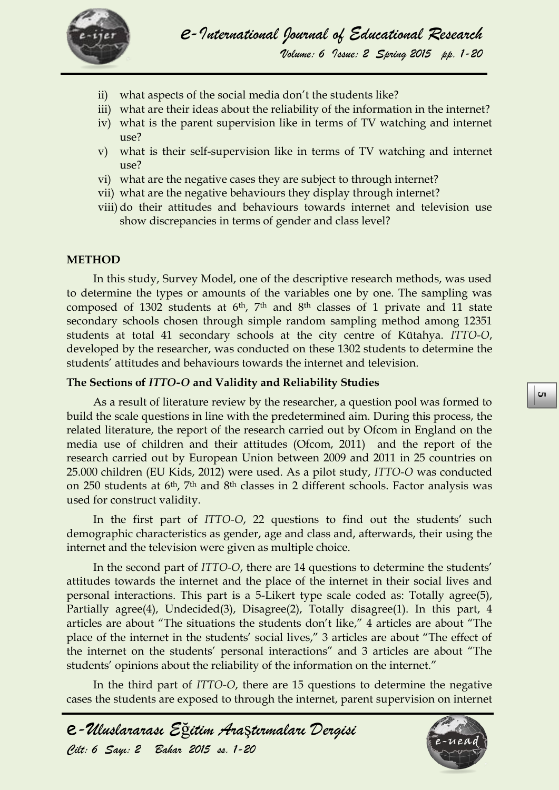

- ii) what aspects of the social media don't the students like?
- iii) what are their ideas about the reliability of the information in the internet?
- iv) what is the parent supervision like in terms of TV watching and internet use?
- v) what is their self-supervision like in terms of TV watching and internet use?
- vi) what are the negative cases they are subject to through internet?
- vii) what are the negative behaviours they display through internet?
- viii) do their attitudes and behaviours towards internet and television use show discrepancies in terms of gender and class level?

#### **METHOD**

In this study, Survey Model, one of the descriptive research methods, was used to determine the types or amounts of the variables one by one. The sampling was composed of 1302 students at 6th, 7th and 8th classes of 1 private and 11 state secondary schools chosen through simple random sampling method among 12351 students at total 41 secondary schools at the city centre of Kütahya. *ITTO-O*, developed by the researcher, was conducted on these 1302 students to determine the students' attitudes and behaviours towards the internet and television.

#### **The Sections of** *ITTO-O* **and Validity and Reliability Studies**

As a result of literature review by the researcher, a question pool was formed to build the scale questions in line with the predetermined aim. During this process, the related literature, the report of the research carried out by Ofcom in England on the media use of children and their attitudes (Ofcom, 2011) and the report of the research carried out by European Union between 2009 and 2011 in 25 countries on 25.000 children (EU Kids, 2012) were used. As a pilot study, *ITTO-O* was conducted on 250 students at 6th, 7th and 8th classes in 2 different schools. Factor analysis was used for construct validity.

In the first part of *ITTO-O*, 22 questions to find out the students' such demographic characteristics as gender, age and class and, afterwards, their using the internet and the television were given as multiple choice.

In the second part of *ITTO-O*, there are 14 questions to determine the students' attitudes towards the internet and the place of the internet in their social lives and personal interactions. This part is a 5-Likert type scale coded as: Totally agree(5), Partially agree(4), Undecided(3), Disagree(2), Totally disagree(1). In this part, 4 articles are about "The situations the students don't like," 4 articles are about "The place of the internet in the students' social lives," 3 articles are about "The effect of the internet on the students' personal interactions" and 3 articles are about "The students' opinions about the reliability of the information on the internet."

In the third part of *ITTO-O*, there are 15 questions to determine the negative cases the students are exposed to through the internet, parent supervision on internet



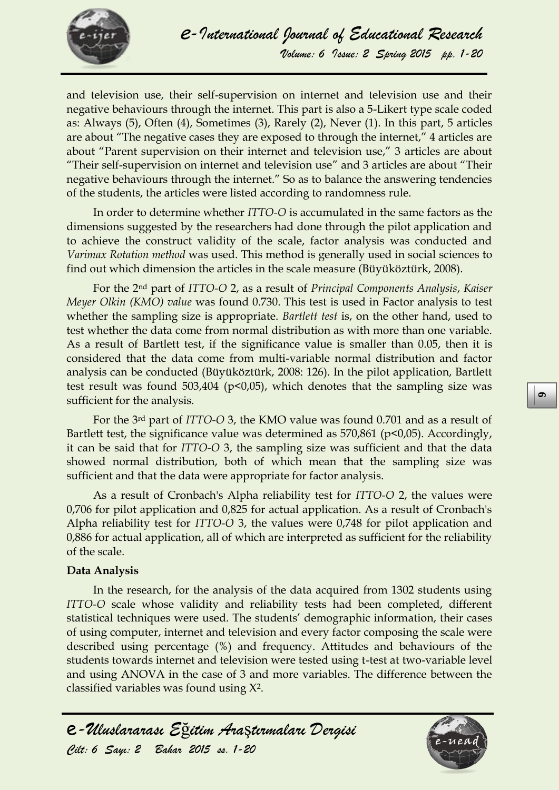

and television use, their self-supervision on internet and television use and their negative behaviours through the internet. This part is also a 5-Likert type scale coded as: Always (5), Often (4), Sometimes (3), Rarely (2), Never (1). In this part, 5 articles are about "The negative cases they are exposed to through the internet," 4 articles are about "Parent supervision on their internet and television use," 3 articles are about "Their self-supervision on internet and television use" and 3 articles are about "Their negative behaviours through the internet." So as to balance the answering tendencies of the students, the articles were listed according to randomness rule.

In order to determine whether *ITTO-O* is accumulated in the same factors as the dimensions suggested by the researchers had done through the pilot application and to achieve the construct validity of the scale, factor analysis was conducted and *Varimax Rotation method* was used. This method is generally used in social sciences to find out which dimension the articles in the scale measure (Büyüköztürk, 2008).

For the 2nd part of *ITTO-O* 2, as a result of *Principal Components Analysis*, *Kaiser Meyer Olkin (KMO) value* was found 0.730. This test is used in Factor analysis to test whether the sampling size is appropriate. *Bartlett test* is, on the other hand, used to test whether the data come from normal distribution as with more than one variable. As a result of Bartlett test, if the significance value is smaller than 0.05, then it is considered that the data come from multi-variable normal distribution and factor analysis can be conducted (Büyüköztürk, 2008: 126). In the pilot application, Bartlett test result was found 503,404 (p<0,05), which denotes that the sampling size was sufficient for the analysis.

For the 3rd part of *ITTO-O* 3, the KMO value was found 0.701 and as a result of Bartlett test, the significance value was determined as 570,861 (p<0,05). Accordingly, it can be said that for *ITTO-O* 3, the sampling size was sufficient and that the data showed normal distribution, both of which mean that the sampling size was sufficient and that the data were appropriate for factor analysis.

As a result of Cronbach's Alpha reliability test for *ITTO-O* 2, the values were 0,706 for pilot application and 0,825 for actual application. As a result of Cronbach's Alpha reliability test for *ITTO-O* 3, the values were 0,748 for pilot application and 0,886 for actual application, all of which are interpreted as sufficient for the reliability of the scale.

#### **Data Analysis**

In the research, for the analysis of the data acquired from 1302 students using *ITTO-O* scale whose validity and reliability tests had been completed, different statistical techniques were used. The students' demographic information, their cases of using computer, internet and television and every factor composing the scale were described using percentage (%) and frequency. Attitudes and behaviours of the students towards internet and television were tested using t-test at two-variable level and using ANOVA in the case of 3 and more variables. The difference between the classified variables was found using X2.

e*-Uluslararası E*ğ*itim Ara*ş*tırmaları Dergisi Cilt: 6 Sayı: 2 Bahar 2015 ss. 1-20* 

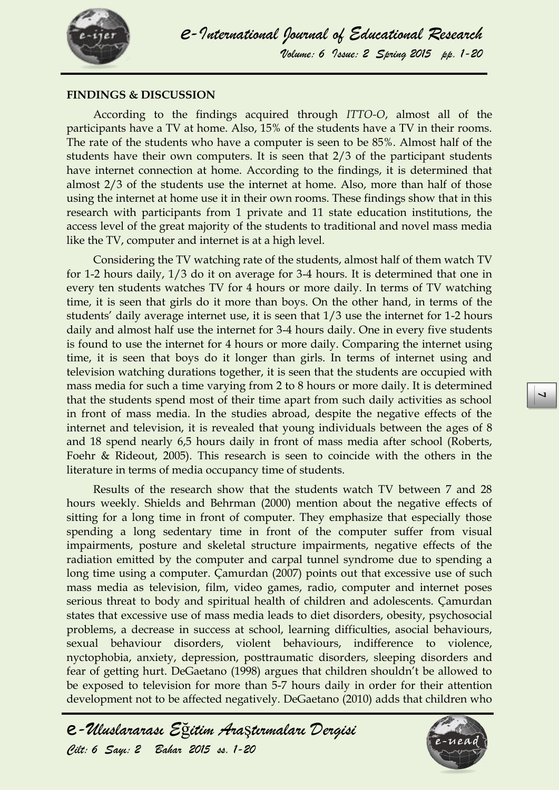

#### **FINDINGS & DISCUSSION**

According to the findings acquired through *ITTO-O*, almost all of the participants have a TV at home. Also, 15% of the students have a TV in their rooms. The rate of the students who have a computer is seen to be 85%. Almost half of the students have their own computers. It is seen that 2/3 of the participant students have internet connection at home. According to the findings, it is determined that almost 2/3 of the students use the internet at home. Also, more than half of those using the internet at home use it in their own rooms. These findings show that in this research with participants from 1 private and 11 state education institutions, the access level of the great majority of the students to traditional and novel mass media like the TV, computer and internet is at a high level.

Considering the TV watching rate of the students, almost half of them watch TV for 1-2 hours daily, 1/3 do it on average for 3-4 hours. It is determined that one in every ten students watches TV for 4 hours or more daily. In terms of TV watching time, it is seen that girls do it more than boys. On the other hand, in terms of the students' daily average internet use, it is seen that 1/3 use the internet for 1-2 hours daily and almost half use the internet for 3-4 hours daily. One in every five students is found to use the internet for 4 hours or more daily. Comparing the internet using time, it is seen that boys do it longer than girls. In terms of internet using and television watching durations together, it is seen that the students are occupied with mass media for such a time varying from 2 to 8 hours or more daily. It is determined that the students spend most of their time apart from such daily activities as school in front of mass media. In the studies abroad, despite the negative effects of the internet and television, it is revealed that young individuals between the ages of 8 and 18 spend nearly 6,5 hours daily in front of mass media after school (Roberts, Foehr & Rideout, 2005). This research is seen to coincide with the others in the literature in terms of media occupancy time of students.

Results of the research show that the students watch TV between 7 and 28 hours weekly. Shields and Behrman (2000) mention about the negative effects of sitting for a long time in front of computer. They emphasize that especially those spending a long sedentary time in front of the computer suffer from visual impairments, posture and skeletal structure impairments, negative effects of the radiation emitted by the computer and carpal tunnel syndrome due to spending a long time using a computer. Çamurdan (2007) points out that excessive use of such mass media as television, film, video games, radio, computer and internet poses serious threat to body and spiritual health of children and adolescents. Çamurdan states that excessive use of mass media leads to diet disorders, obesity, psychosocial problems, a decrease in success at school, learning difficulties, asocial behaviours, sexual behaviour disorders, violent behaviours, indifference to violence, nyctophobia, anxiety, depression, posttraumatic disorders, sleeping disorders and fear of getting hurt. DeGaetano (1998) argues that children shouldn't be allowed to be exposed to television for more than 5-7 hours daily in order for their attention development not to be affected negatively. DeGaetano (2010) adds that children who

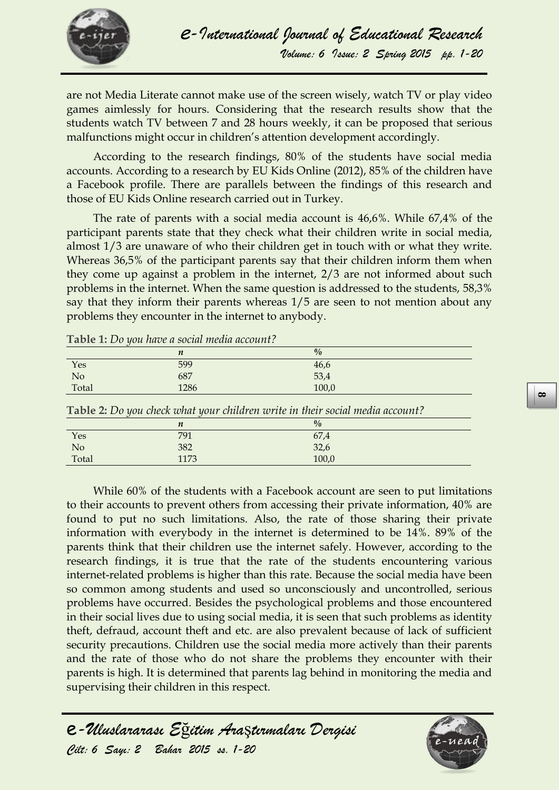

are not Media Literate cannot make use of the screen wisely, watch TV or play video games aimlessly for hours. Considering that the research results show that the students watch TV between 7 and 28 hours weekly, it can be proposed that serious malfunctions might occur in children's attention development accordingly.

According to the research findings, 80% of the students have social media accounts. According to a research by EU Kids Online (2012), 85% of the children have a Facebook profile. There are parallels between the findings of this research and those of EU Kids Online research carried out in Turkey.

The rate of parents with a social media account is 46,6%. While 67,4% of the participant parents state that they check what their children write in social media, almost 1/3 are unaware of who their children get in touch with or what they write. Whereas 36,5% of the participant parents say that their children inform them when they come up against a problem in the internet, 2/3 are not informed about such problems in the internet. When the same question is addressed to the students, 58,3% say that they inform their parents whereas 1/5 are seen to not mention about any problems they encounter in the internet to anybody.

|       | $\boldsymbol{n}$ | $\frac{0}{0}$                                                                        |  |
|-------|------------------|--------------------------------------------------------------------------------------|--|
| Yes   | 599              | 46,6                                                                                 |  |
| No    | 687              | 53,4                                                                                 |  |
| Total | 1286             | 100,0                                                                                |  |
|       |                  | <b>Table 2:</b> Do you check what your children write in their social media account? |  |
|       | $\boldsymbol{n}$ | $\frac{0}{0}$                                                                        |  |
| Yes   | 791              | 67,4                                                                                 |  |
| No    | 382              | 32,6                                                                                 |  |
| Total | 1173             | 100,0                                                                                |  |

**Table 1:** *Do you have a social media account?*

While 60% of the students with a Facebook account are seen to put limitations to their accounts to prevent others from accessing their private information, 40% are found to put no such limitations. Also, the rate of those sharing their private information with everybody in the internet is determined to be 14%. 89% of the parents think that their children use the internet safely. However, according to the research findings, it is true that the rate of the students encountering various internet-related problems is higher than this rate. Because the social media have been so common among students and used so unconsciously and uncontrolled, serious problems have occurred. Besides the psychological problems and those encountered in their social lives due to using social media, it is seen that such problems as identity theft, defraud, account theft and etc. are also prevalent because of lack of sufficient security precautions. Children use the social media more actively than their parents and the rate of those who do not share the problems they encounter with their parents is high. It is determined that parents lag behind in monitoring the media and supervising their children in this respect.

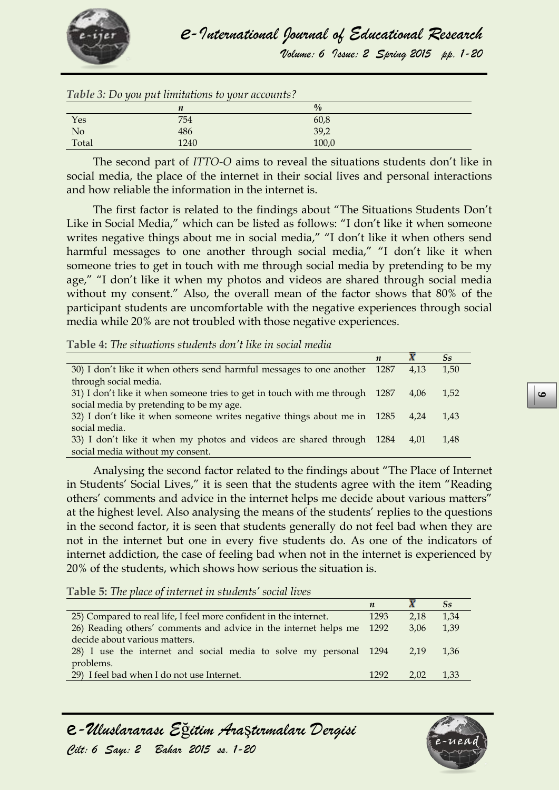

*Volume: 6 Issue: 2 Spring 2015 pp. 1-20*

|                | Table 3: Do you put limitations to your accounts? |               |
|----------------|---------------------------------------------------|---------------|
|                | n                                                 | $\frac{0}{0}$ |
| Yes            | 754                                               | 60,8          |
| N <sub>o</sub> | 486                                               | 39,2          |
| Total          | 1240                                              | 100,0         |

The second part of *ITTO-O* aims to reveal the situations students don't like in social media, the place of the internet in their social lives and personal interactions and how reliable the information in the internet is.

The first factor is related to the findings about "The Situations Students Don't Like in Social Media," which can be listed as follows: "I don't like it when someone writes negative things about me in social media," "I don't like it when others send harmful messages to one another through social media," "I don't like it when someone tries to get in touch with me through social media by pretending to be my age," "I don't like it when my photos and videos are shared through social media without my consent." Also, the overall mean of the factor shows that 80% of the participant students are uncomfortable with the negative experiences through social media while 20% are not troubled with those negative experiences.

**Table 4:** *The situations students don't like in social media*

|                                                                           | $\boldsymbol{n}$ |      | $S_{\bf S}$ |
|---------------------------------------------------------------------------|------------------|------|-------------|
| 30) I don't like it when others send harmful messages to one another 1287 |                  | 4.13 | 1.50        |
| through social media.                                                     |                  |      |             |
| 31) I don't like it when someone tries to get in touch with me through    | 1287             | 4.06 | 1.52        |
| social media by pretending to be my age.                                  |                  |      |             |
| 32) I don't like it when someone writes negative things about me in 1285  |                  | 4.24 | 1.43        |
| social media.                                                             |                  |      |             |
| 33) I don't like it when my photos and videos are shared through 1284     |                  | 4.01 | 1.48        |
| social media without my consent.                                          |                  |      |             |

Analysing the second factor related to the findings about "The Place of Internet in Students' Social Lives," it is seen that the students agree with the item "Reading others' comments and advice in the internet helps me decide about various matters" at the highest level. Also analysing the means of the students' replies to the questions in the second factor, it is seen that students generally do not feel bad when they are not in the internet but one in every five students do. As one of the indicators of internet addiction, the case of feeling bad when not in the internet is experienced by 20% of the students, which shows how serious the situation is.

**Table 5:** *The place of internet in students' social lives*

|                                                                       |      |      | $S_{S}$ |
|-----------------------------------------------------------------------|------|------|---------|
| 25) Compared to real life, I feel more confident in the internet.     |      | 2.18 | 1.34    |
| 26) Reading others' comments and advice in the internet helps me 1292 |      | 3.06 | 1,39    |
| decide about various matters.                                         |      |      |         |
| 28) I use the internet and social media to solve my personal 1294     |      | 2.19 | 1.36    |
| problems.                                                             |      |      |         |
| 29) I feel bad when I do not use Internet.                            | 1292 | 2.02 | 1.33    |

e*-Uluslararası E*ğ*itim Ara*ş*tırmaları Dergisi Cilt: 6 Sayı: 2 Bahar 2015 ss. 1-20* 

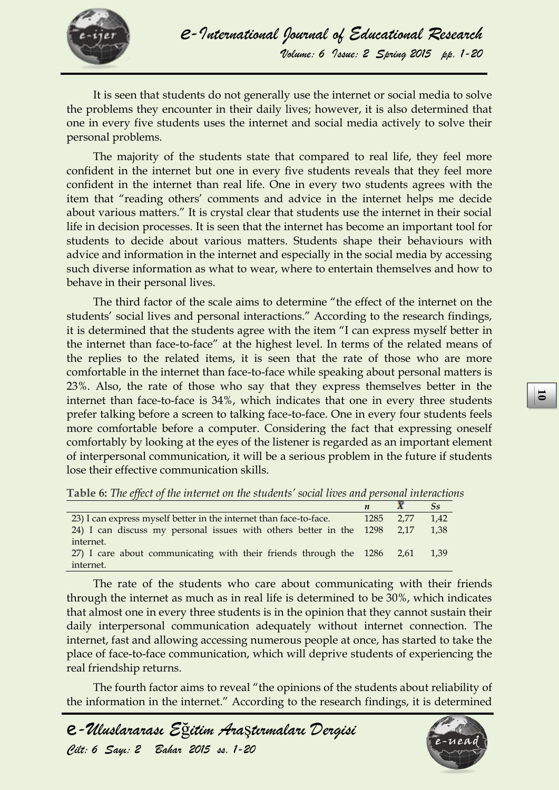

It is seen that students do not generally use the internet or social media to solve the problems they encounter in their daily lives; however, it is also determined that one in every five students uses the internet and social media actively to solve their personal problems.

The majority of the students state that compared to real life, they feel more confident in the internet but one in every five students reveals that they feel more confident in the internet than real life. One in every two students agrees with the item that "reading others' comments and advice in the internet helps me decide about various matters." It is crystal clear that students use the internet in their social life in decision processes. It is seen that the internet has become an important tool for students to decide about various matters. Students shape their behaviours with advice and information in the internet and especially in the social media by accessing such diverse information as what to wear, where to entertain themselves and how to behave in their personal lives.

The third factor of the scale aims to determine "the effect of the internet on the students' social lives and personal interactions." According to the research findings, it is determined that the students agree with the item "I can express myself better in the internet than face-to-face" at the highest level. In terms of the related means of the replies to the related items, it is seen that the rate of those who are more comfortable in the internet than face-to-face while speaking about personal matters is 23%. Also, the rate of those who say that they express themselves better in the internet than face-to-face is 34%, which indicates that one in every three students prefer talking before a screen to talking face-to-face. One in every four students feels more comfortable before a computer. Considering the fact that expressing oneself comfortably by looking at the eyes of the listener is regarded as an important element of interpersonal communication, it will be a serious problem in the future if students lose their effective communication skills.

**Table 6:** *The effect of the internet on the students' social lives and personal interactions*

| 23) I can express myself better in the internet than face-to-face.       | 1285 2.77 | 1.42 |
|--------------------------------------------------------------------------|-----------|------|
| 24) I can discuss my personal issues with others better in the 1298 2,17 |           | 1.38 |
| internet.                                                                |           |      |
| 27) I care about communicating with their friends through the 1286 2,61  |           | 1.39 |
| internet.                                                                |           |      |

**Examplement** than face-to-face is 34%, which indicates that one in every three tistlants then the proper talking face-to-face. One in every form students feels<br>more comprotable before a computer. Considering the fact tha The rate of the students who care about communicating with their friends through the internet as much as in real life is determined to be 30%, which indicates that almost one in every three students is in the opinion that they cannot sustain their daily interpersonal communication adequately without internet connection. The internet, fast and allowing accessing numerous people at once, has started to take the place of face-to-face communication, which will deprive students of experiencing the real friendship returns.

The fourth factor aims to reveal "the opinions of the students about reliability of the information in the internet." According to the research findings, it is determined



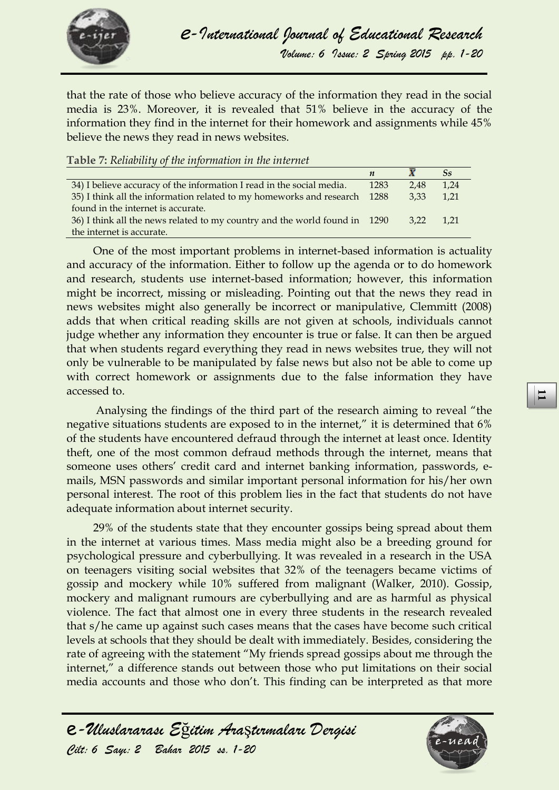

that the rate of those who believe accuracy of the information they read in the social media is 23%. Moreover, it is revealed that 51% believe in the accuracy of the information they find in the internet for their homework and assignments while 45% believe the news they read in news websites.

**Table 7:** *Reliability of the information in the internet*

|                                                                            |      |           | $S_{S}$ |
|----------------------------------------------------------------------------|------|-----------|---------|
| 34) I believe accuracy of the information I read in the social media.      | 1283 | 2.48      | 1.24    |
| 35) I think all the information related to my homeworks and research 1288  |      | 3.33      | $-1,21$ |
| found in the internet is accurate.                                         |      |           |         |
| 36) I think all the news related to my country and the world found in 1290 |      | 3.22 1.21 |         |
| the internet is accurate.                                                  |      |           |         |

One of the most important problems in internet-based information is actuality and accuracy of the information. Either to follow up the agenda or to do homework and research, students use internet-based information; however, this information might be incorrect, missing or misleading. Pointing out that the news they read in news websites might also generally be incorrect or manipulative, Clemmitt (2008) adds that when critical reading skills are not given at schools, individuals cannot judge whether any information they encounter is true or false. It can then be argued that when students regard everything they read in news websites true, they will not only be vulnerable to be manipulated by false news but also not be able to come up with correct homework or assignments due to the false information they have accessed to.

Analysing the findings of the third part of the research aiming to reveal "the negative situations students are exposed to in the internet," it is determined that 6% of the students have encountered defraud through the internet at least once. Identity theft, one of the most common defraud methods through the internet, means that someone uses others' credit card and internet banking information, passwords, emails, MSN passwords and similar important personal information for his/her own personal interest. The root of this problem lies in the fact that students do not have adequate information about internet security.

accesser to.<br>
Analysing the findings of the third part of the research aiming to reveal "the<br>
megative situations students are exposed to in the internet," it is determined that 6%<br>
of the students have encountered defraud 29% of the students state that they encounter gossips being spread about them in the internet at various times. Mass media might also be a breeding ground for psychological pressure and cyberbullying. It was revealed in a research in the USA on teenagers visiting social websites that 32% of the teenagers became victims of gossip and mockery while 10% suffered from malignant (Walker, 2010). Gossip, mockery and malignant rumours are cyberbullying and are as harmful as physical violence. The fact that almost one in every three students in the research revealed that s/he came up against such cases means that the cases have become such critical levels at schools that they should be dealt with immediately. Besides, considering the rate of agreeing with the statement "My friends spread gossips about me through the internet," a difference stands out between those who put limitations on their social media accounts and those who don't. This finding can be interpreted as that more

e*-Uluslararası E*ğ*itim Ara*ş*tırmaları Dergisi* 

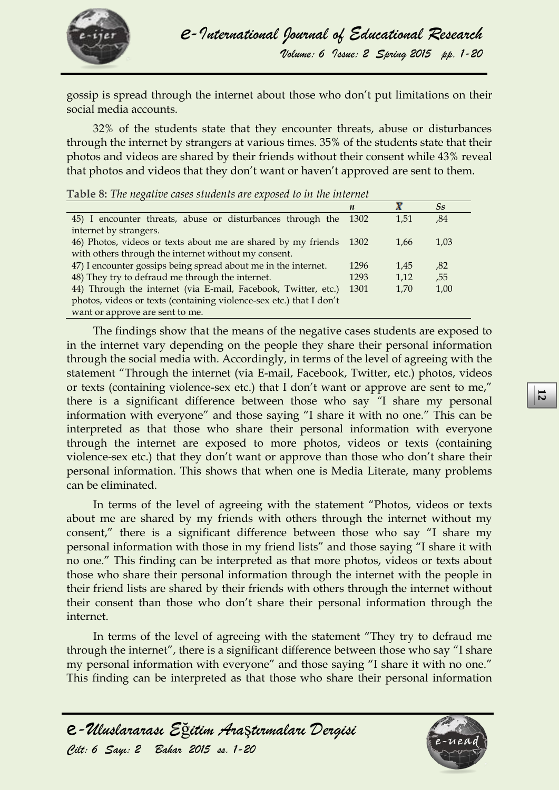

gossip is spread through the internet about those who don't put limitations on their social media accounts.

32% of the students state that they encounter threats, abuse or disturbances through the internet by strangers at various times. 35% of the students state that their photos and videos are shared by their friends without their consent while 43% reveal that photos and videos that they don't want or haven't approved are sent to them.

|                                                                     | $\boldsymbol{n}$ |      | $S_{S}$ |
|---------------------------------------------------------------------|------------------|------|---------|
| 45) I encounter threats, abuse or disturbances through the          | 1302             | 1.51 | ,84     |
| internet by strangers.                                              |                  |      |         |
| 46) Photos, videos or texts about me are shared by my friends       | 1302             | 1,66 | 1,03    |
| with others through the internet without my consent.                |                  |      |         |
| 47) I encounter gossips being spread about me in the internet.      | 1296             | 1.45 | ,82     |
| 48) They try to defraud me through the internet.                    | 1293             | 1,12 | ,55     |
| 44) Through the internet (via E-mail, Facebook, Twitter, etc.)      | 1301             | 1,70 | 1,00    |
| photos, videos or texts (containing violence-sex etc.) that I don't |                  |      |         |
| want or approve are sent to me.                                     |                  |      |         |

**Table 8:** *The negative cases students are exposed to in the internet*

The findings show that the means of the negative cases students are exposed to in the internet vary depending on the people they share their personal information through the social media with. Accordingly, in terms of the level of agreeing with the statement "Through the internet (via E-mail, Facebook, Twitter, etc.) photos, videos or texts (containing violence-sex etc.) that I don't want or approve are sent to me," there is a significant difference between those who say *"*I share my personal information with everyone" and those saying "I share it with no one." This can be interpreted as that those who share their personal information with everyone through the internet are exposed to more photos, videos or texts (containing violence-sex etc.) that they don't want or approve than those who don't share their personal information. This shows that when one is Media Literate, many problems can be eliminated.

there is a significant difference between those who say <sup>*r*q</sup> share my personal information with everyone" and those easing <sup>*r*</sup> is stree it with no one. This can be inferreded as that those who share their personal inf In terms of the level of agreeing with the statement "Photos, videos or texts about me are shared by my friends with others through the internet without my consent," there is a significant difference between those who say "I share my personal information with those in my friend lists" and those saying "I share it with no one." This finding can be interpreted as that more photos, videos or texts about those who share their personal information through the internet with the people in their friend lists are shared by their friends with others through the internet without their consent than those who don't share their personal information through the internet.

In terms of the level of agreeing with the statement "They try to defraud me through the internet", there is a significant difference between those who say "I share my personal information with everyone" and those saying "I share it with no one." This finding can be interpreted as that those who share their personal information

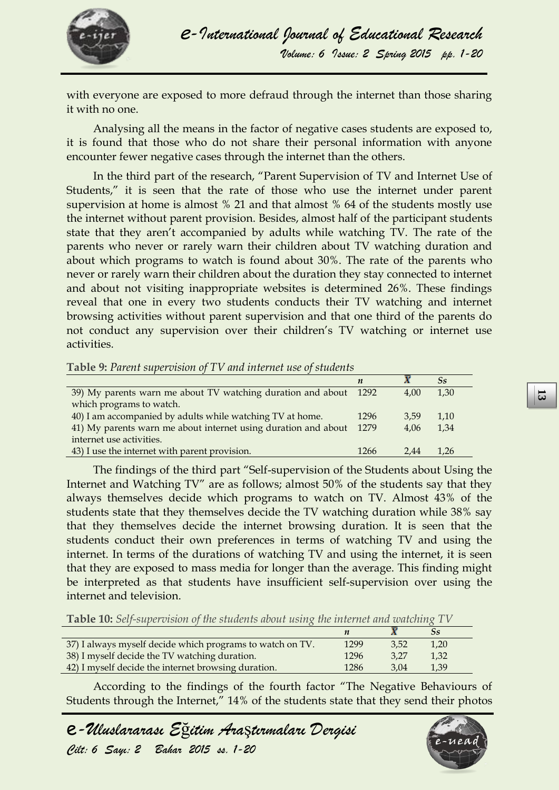

with everyone are exposed to more defraud through the internet than those sharing it with no one.

Analysing all the means in the factor of negative cases students are exposed to, it is found that those who do not share their personal information with anyone encounter fewer negative cases through the internet than the others.

In the third part of the research, "Parent Supervision of TV and Internet Use of Students," it is seen that the rate of those who use the internet under parent supervision at home is almost % 21 and that almost % 64 of the students mostly use the internet without parent provision. Besides, almost half of the participant students state that they aren't accompanied by adults while watching TV. The rate of the parents who never or rarely warn their children about TV watching duration and about which programs to watch is found about 30%. The rate of the parents who never or rarely warn their children about the duration they stay connected to internet and about not visiting inappropriate websites is determined 26%. These findings reveal that one in every two students conducts their TV watching and internet browsing activities without parent supervision and that one third of the parents do not conduct any supervision over their children's TV watching or internet use activities.

**Table 9:** *Parent supervision of TV and internet use of students*

|                                                                        |      |      | $S_{S}$ |
|------------------------------------------------------------------------|------|------|---------|
| 39) My parents warn me about TV watching duration and about 1292       |      | 4.00 | 1,30    |
| which programs to watch.                                               |      |      |         |
| 40) I am accompanied by adults while watching TV at home.              | 1296 | 3.59 | 1.10    |
| 41) My parents warn me about internet using duration and about<br>1279 |      | 4.06 | 1.34    |
| internet use activities.                                               |      |      |         |
| 43) I use the internet with parent provision.                          | 1266 | 2.44 | 1.26    |

<sup>39</sup>*N* by parents warm me about 12 watching duration and about 1292 <br> **C** which programs to watch.<br> **C** which programs to watch.<br> **E** 400 **4 E** 41) An accompanise by addit which watching IV at home.<br> **EXELUM and the se** The findings of the third part "Self-supervision of the Students about Using the Internet and Watching TV" are as follows; almost 50% of the students say that they always themselves decide which programs to watch on TV. Almost 43% of the students state that they themselves decide the TV watching duration while 38% say that they themselves decide the internet browsing duration. It is seen that the students conduct their own preferences in terms of watching TV and using the internet. In terms of the durations of watching TV and using the internet, it is seen that they are exposed to mass media for longer than the average. This finding might be interpreted as that students have insufficient self-supervision over using the internet and television.

**Table 10:** *Self-supervision of the students about using the internet and watching TV*

|                                                           |      |      | Ss   |
|-----------------------------------------------------------|------|------|------|
| 37) I always myself decide which programs to watch on TV. | 1299 | 3.52 | 1,20 |
| 38) I myself decide the TV watching duration.             | 1296 | 3.27 | 1,32 |
| 42) I myself decide the internet browsing duration.       | 1286 | 3.04 | 1.39 |

According to the findings of the fourth factor "The Negative Behaviours of Students through the Internet," 14% of the students state that they send their photos

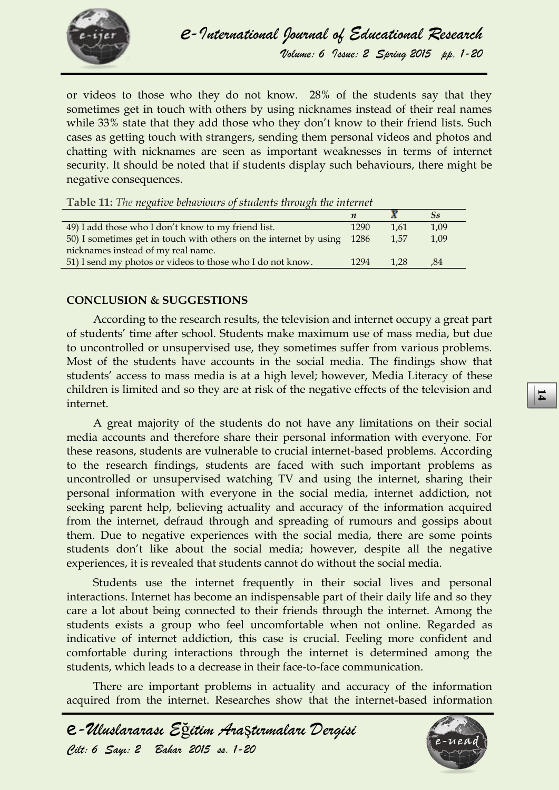

or videos to those who they do not know. 28% of the students say that they sometimes get in touch with others by using nicknames instead of their real names while 33% state that they add those who they don't know to their friend lists. Such cases as getting touch with strangers, sending them personal videos and photos and chatting with nicknames are seen as important weaknesses in terms of internet security. It should be noted that if students display such behaviours, there might be negative consequences.

| <b>Lavie 11.</b> The negative vehiclours of statents infoliogn the internet               |  |  |  |  |
|-------------------------------------------------------------------------------------------|--|--|--|--|
| $\overline{S}S$                                                                           |  |  |  |  |
| 49) I add those who I don't know to my friend list.<br>1,09<br>1290<br>1.61               |  |  |  |  |
| 50) I sometimes get in touch with others on the internet by using<br>1.57<br>1.09<br>1286 |  |  |  |  |
| nicknames instead of my real name.                                                        |  |  |  |  |
| 51) I send my photos or videos to those who I do not know.<br>1294<br>1.28<br>.84         |  |  |  |  |

**Table 11:** *The negative behaviours of students through the internet*

#### **CONCLUSION & SUGGESTIONS**

According to the research results, the television and internet occupy a great part of students' time after school. Students make maximum use of mass media, but due to uncontrolled or unsupervised use, they sometimes suffer from various problems. Most of the students have accounts in the social media. The findings show that students' access to mass media is at a high level; however, Media Literacy of these children is limited and so they are at risk of the negative effects of the television and internet.

*Cilt: 6 Sayı: 2 Bahar 2015 ss. 1-20* **<sup>14</sup>** A great majority of the students do not have any limitations on their social media accounts and therefore share their personal information with everyone. For these reasons, students are vulnerable to crucial internet-based problems. According to the research findings, students are faced with such important problems as uncontrolled or unsupervised watching TV and using the internet, sharing their personal information with everyone in the social media, internet addiction, not seeking parent help, believing actuality and accuracy of the information acquired from the internet, defraud through and spreading of rumours and gossips about them. Due to negative experiences with the social media, there are some points students don't like about the social media; however, despite all the negative experiences, it is revealed that students cannot do without the social media.

Students use the internet frequently in their social lives and personal interactions. Internet has become an indispensable part of their daily life and so they care a lot about being connected to their friends through the internet. Among the students exists a group who feel uncomfortable when not online. Regarded as indicative of internet addiction, this case is crucial. Feeling more confident and comfortable during interactions through the internet is determined among the students, which leads to a decrease in their face-to-face communication.

There are important problems in actuality and accuracy of the information acquired from the internet. Researches show that the internet-based information

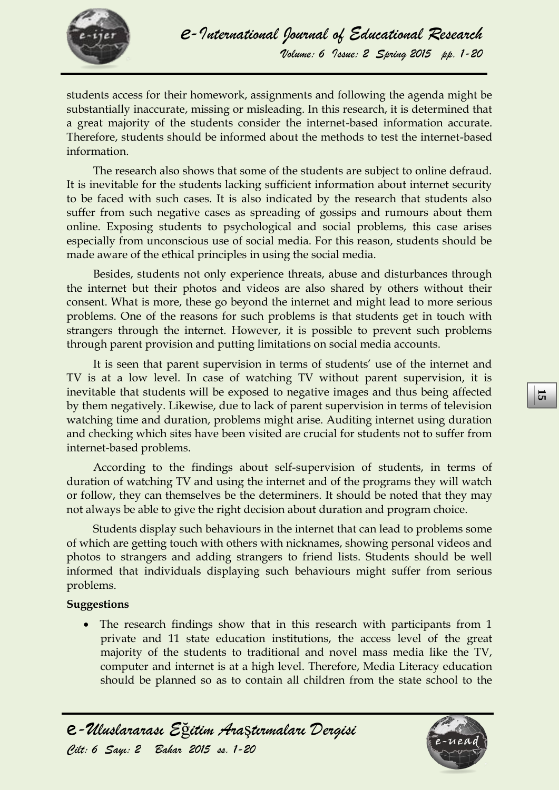

students access for their homework, assignments and following the agenda might be substantially inaccurate, missing or misleading. In this research, it is determined that a great majority of the students consider the internet-based information accurate. Therefore, students should be informed about the methods to test the internet-based information.

The research also shows that some of the students are subject to online defraud. It is inevitable for the students lacking sufficient information about internet security to be faced with such cases. It is also indicated by the research that students also suffer from such negative cases as spreading of gossips and rumours about them online. Exposing students to psychological and social problems, this case arises especially from unconscious use of social media. For this reason, students should be made aware of the ethical principles in using the social media.

Besides, students not only experience threats, abuse and disturbances through the internet but their photos and videos are also shared by others without their consent. What is more, these go beyond the internet and might lead to more serious problems. One of the reasons for such problems is that students get in touch with strangers through the internet. However, it is possible to prevent such problems through parent provision and putting limitations on social media accounts.

It is seen that parent supervision in terms of students' use of the internet and TV is at a low level. In case of watching TV without parent supervision, it is inevitable that students will be exposed to negative images and thus being affected by them negatively. Likewise, due to lack of parent supervision in terms of television watching time and duration, problems might arise. Auditing internet using duration and checking which sites have been visited are crucial for students not to suffer from internet-based problems.

According to the findings about self-supervision of students, in terms of duration of watching TV and using the internet and of the programs they will watch or follow, they can themselves be the determiners. It should be noted that they may not always be able to give the right decision about duration and program choice.

mevitable that students will be exposed to negative mages and thus being a<br>incredict that students with the exposed of the care of the care of the<br>straing time and duration, problems might arise. Auditing internet using du Students display such behaviours in the internet that can lead to problems some of which are getting touch with others with nicknames, showing personal videos and photos to strangers and adding strangers to friend lists. Students should be well informed that individuals displaying such behaviours might suffer from serious problems.

#### **Suggestions**

• The research findings show that in this research with participants from 1 private and 11 state education institutions, the access level of the great majority of the students to traditional and novel mass media like the TV, computer and internet is at a high level. Therefore, Media Literacy education should be planned so as to contain all children from the state school to the

e*-Uluslararası E*ğ*itim Ara*ş*tırmaları Dergisi* 

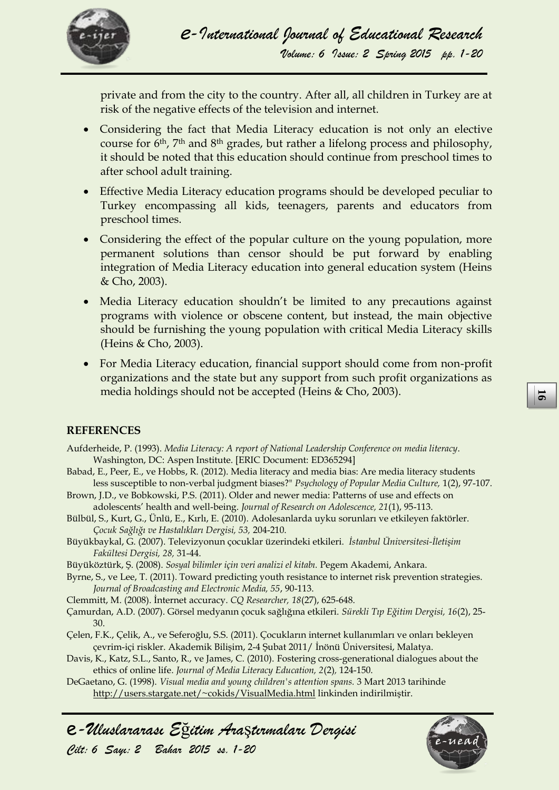

private and from the city to the country. After all, all children in Turkey are at risk of the negative effects of the television and internet.

- Considering the fact that Media Literacy education is not only an elective course for 6th, 7th and 8th grades, but rather a lifelong process and philosophy, it should be noted that this education should continue from preschool times to after school adult training.
- Effective Media Literacy education programs should be developed peculiar to Turkey encompassing all kids, teenagers, parents and educators from preschool times.
- Considering the effect of the popular culture on the young population, more permanent solutions than censor should be put forward by enabling integration of Media Literacy education into general education system (Heins & Cho, 2003).
- Media Literacy education shouldn't be limited to any precautions against programs with violence or obscene content, but instead, the main objective should be furnishing the young population with critical Media Literacy skills (Heins & Cho, 2003).
- For Media Literacy education, financial support should come from non-profit organizations and the state but any support from such profit organizations as media holdings should not be accepted (Heins & Cho, 2003).

### **REFERENCES**

Aufderheide, P. (1993). *Media Literacy: A report of National Leadership Conference on media literacy*. Washington, DC: Aspen Institute. [ERIC Document: ED365294]

- Babad, E., Peer, E., ve Hobbs, R. (2012). Media literacy and media bias: Are media literacy students less susceptible to non-verbal judgment biases?" *Psychology of Popular Media Culture,* 1(2), 97-107.
- Brown, J.D., ve Bobkowski, P.S. (2011). Older and newer media: Patterns of use and effects on adolescents' health and well-being. *Journal of Research on Adolescence, 21*(1), 95-113.
- Bülbül, S., Kurt, G., Ünlü, E., Kırlı, E. (2010). Adolesanlarda uyku sorunları ve etkileyen faktörler. *Çocuk Sağlığı ve Hastalıkları Dergisi, 53,* 204-210.
- Büyükbaykal, G. (2007). Televizyonun çocuklar üzerindeki etkileri. *İstanbul Üniversitesi-İletişim Fakültesi Dergisi, 28,* 31-44.
- Büyüköztürk, Ş. (2008). *Sosyal bilimler için veri analizi el kitabı.* Pegem Akademi, Ankara.
- Byrne, S., ve Lee, T. (2011). Toward predicting youth resistance to internet risk prevention strategies. *Journal of Broadcasting and Electronic Media, 55*, 90-113.
- Clemmitt, M. (2008). İnternet accuracy. *CQ Researcher, 18*(27), 625-648.
- Çamurdan, A.D. (2007). Görsel medyanın çocuk sağlığına etkileri. *Sürekli Tıp Eğitim Dergisi, 16*(2), 25- 30.
- Çelen, F.K., Çelik, A., ve Seferoğlu, S.S. (2011). Çocukların internet kullanımları ve onları bekleyen çevrim-içi riskler. Akademik Bilişim, 2-4 Şubat 2011/ İnönü Üniversitesi, Malatya.
- Davis, K., Katz, S.L., Santo, R., ve James, C. (2010). Fostering cross-generational dialogues about the ethics of online life. *Journal of Media Literacy Education, 2*(2)*,* 124-150.
- DeGaetano, G. (1998). *Visual media and young children's attention spans.* 3 Mart 2013 tarihinde <http://users.stargate.net/~cokids/VisualMedia.html> linkinden indirilmiştir.



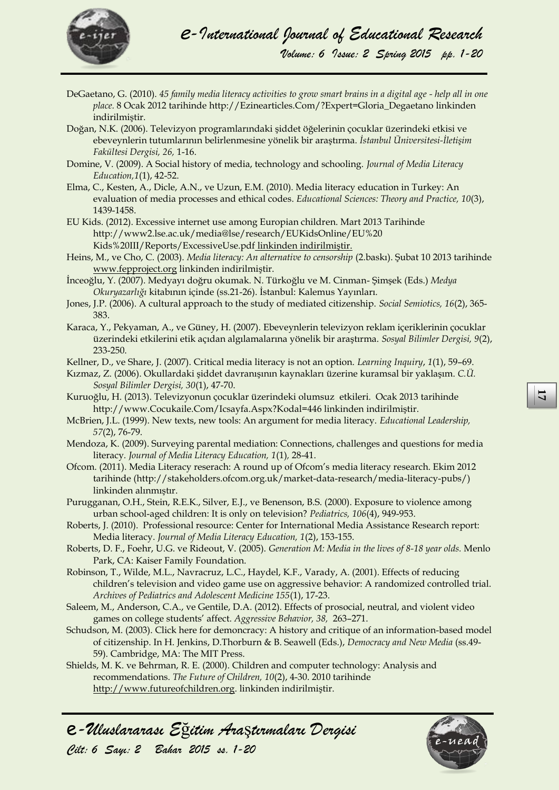

- DeGaetano, G. (2010). *45 family media literacy activities to grow smart brains in a digital age - help all in one place.* 8 Ocak 2012 tarihinde http://Ezinearticles.Com/?Expert=Gloria\_Degaetano linkinden indirilmiştir.
- Doğan, N.K. (2006). Televizyon programlarındaki şiddet öğelerinin çocuklar üzerindeki etkisi ve ebeveynlerin tutumlarının belirlenmesine yönelik bir araştırma. *İstanbul Üniversitesi-İletişim Fakültesi Dergisi, 26,* 1-16.
- Domine, V. (2009). A Social history of media, technology and schooling. *Journal of Media Literacy Education,1*(1), 42-52.
- [Elma, C.,](javascript:__doLinkPostBack() Kesten, A., [Dicle, A.N.,](javascript:__doLinkPostBack() v[e Uzun, E.M.](javascript:__doLinkPostBack() (2010). Media literacy education in Turkey: An evaluation of media processes and ethical codes. *[Educational Sciences: Theory and Practice,](javascript:__doLinkPostBack() 10*(3), 1439-1458.
- EU Kids. (2012). Excessive internet use among Europian children. Mart 2013 Tarihinde http://www2.lse.ac.uk/media@lse/research/EUKidsOnline/EU%20 Kids%20III/Reports/ExcessiveUse.pdf linkinden indirilmiştir.
- Heins, M., ve Cho, C. (2003). *Media literacy: An alternative to censorship* (2.baskı). Şubat 10 2013 tarihinde [www.fepproject.org](http://www.fepproject.org/) linkinden indirilmiştir.
- İnceoğlu, Y. (2007). Medyayı doğru okumak. N. Türkoğlu ve M. Cinman- Şimşek (Eds.) *Medya Okuryazarlığı* kitabının içinde (ss.21-26). İstanbul: Kalemus Yayınları.
- Jones, J.P. (2006). A cultural approach to the study of mediated citizenship. *Social Semiotics, 16*(2), 365- 383.
- Karaca, Y., Pekyaman, A., ve Güney, H. (2007). Ebeveynlerin televizyon reklam içeriklerinin çocuklar üzerindeki etkilerini etik açıdan algılamalarına yönelik bir araştırma. *Sosyal Bilimler Dergisi, 9*(2), 233-250.
- Kellner, D., ve Share, J. (2007). Critical media literacy is not an option. *Learning Inquiry*, *1*(1), 59–69.
- Kızmaz, Z. (2006). Okullardaki şiddet davranışının kaynakları üzerine kuramsal bir yaklaşım. *C.Ü. Sosyal Bilimler Dergisi, 30*(1), 47-70.
- Kuruoğlu, H. (2013). Televizyonun çocuklar üzerindeki olumsuz etkileri. Ocak 2013 tarihinde http://www.Cocukaile.Com/Icsayfa.Aspx?Kodal=446 linkinden indirilmiştir.
- McBrien, J.L. (1999). New texts, new tools: An argument for media literacy. *Educational Leadership, 57*(2), 76-79.
- Mendoza, K. (2009). Surveying parental mediation: Connections, challenges and questions for media literacy*. Journal of Media Literacy Education, 1*(1)*,* 28-41.
- Ofcom. (2011). Media Literacy reserach: A round up of Ofcom's media literacy research. Ekim 2012 tarihinde (http://stakeholders.ofcom.org.uk/market-data-research/media-literacy-pubs/) linkinden alınmıştır.
- Purugganan, O.H., Stein, R.E.K., Silver, E.J., ve Benenson, B.S. (2000). Exposure to violence among urban school-aged children: It is only on television? *Pediatrics, 106*(4), 949-953.
- Roberts, J. (2010). Professional resource: Center for International Media Assistance Research report: Media literacy. *Journal of Media Literacy Education, 1*(2), 153-155.
- Roberts, D. F., Foehr, U.G. ve Rideout, V. (2005). *Generation M: Media in the lives of 8-18 year olds.* Menlo Park, CA: Kaiser Family Foundation.
- Robinson, T., Wilde, M.L., Navracruz, L.C., Haydel, K.F., Varady, A. (2001). Effects of reducing children's television and video game use on aggressive behavior: A randomized controlled trial. *Archives of Pediatrics and Adolescent Medicine 155*(1), 17-23.
- Saleem, M., Anderson, C.A., ve Gentile, D.A. (2012). Effects of prosocial, neutral, and violent video games on college students' affect. *Aggressive Behavior, 38,* 263–271.
- Kuruogli, H. (2013). Televizyonan coculkar izerindeki olunsuz etkileri. Ocak 2013 tirihinde<br> *CAU: 10.1997.* New texts, new tools: An argument for media literacy. *Educational Leadership*.<br>
MeBrica, L. (1099). Survey, Scot Schudson, M. (2003). Click here for demoncracy: A history and critique of an information-based model of citizenship. In H. Jenkins, D.Thorburn & B. Seawell (Eds.), *Democracy and New Media* (ss.49- 59). Cambridge, MA: The MIT Press.
- Shields, M. K. ve Behrman, R. E. (2000). Children and computer technology: Analysis and recommendations. *The Future of Children, 10*(2), 4-30. 2010 tarihinde [http://www.futureofchildren.org](http://www.futureofchildren.org/). linkinden indirilmiştir.



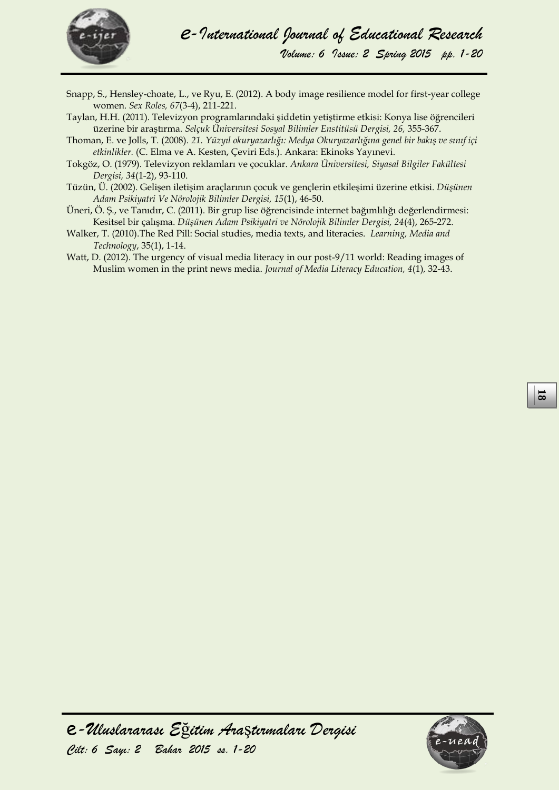

- Snapp, S., Hensley-choate, L., ve Ryu, E. (2012). A body image resilience model for first-year college women. *Sex Roles, 67*(3-4), 211-221.
- Taylan, H.H. (2011). Televizyon programlarındaki şiddetin yetiştirme etkisi: Konya lise öğrencileri üzerine bir araştırma. *Selçuk Üniversitesi Sosyal Bilimler Enstitüsü Dergisi, 26,* 355-367.
- Thoman, E. ve Jolls, T. (2008). *21. Yüzyıl okuryazarlığı: Medya Okuryazarlığına genel bir bakış ve sınıf içi etkinlikler.* (C. Elma ve A. Kesten, Çeviri Eds.). Ankara: Ekinoks Yayınevi.
- Tokgöz, O. (1979). Televizyon reklamları ve çocuklar. *Ankara Üniversitesi, Siyasal Bilgiler Fakültesi Dergisi, 34*(1-2), 93-110.
- Tüzün, Ü. (2002). Gelişen iletişim araçlarının çocuk ve gençlerin etkileşimi üzerine etkisi. *Düşünen Adam Psikiyatri Ve Nörolojik Bilimler Dergisi, 15*(1), 46-50.
- Üneri, Ö. Ş., ve Tanıdır, C. (2011). Bir grup lise öğrencisinde internet bağımlılığı değerlendirmesi: Kesitsel bir çalışma. *Düşünen Adam Psikiyatri ve Nörolojik Bilimler Dergisi, 24*(4), 265-272.
- Walker, T. (2010).The Red Pill: Social studies, media texts, and literacies. *Learning, Media and Technology*, 35(1), 1-14.
- Watt, D. (2012). The urgency of visual media literacy in our post-9/11 world: Reading images of Muslim women in the print news media. *Journal of Media Literacy Education, 4*(1)*,* 32-43.

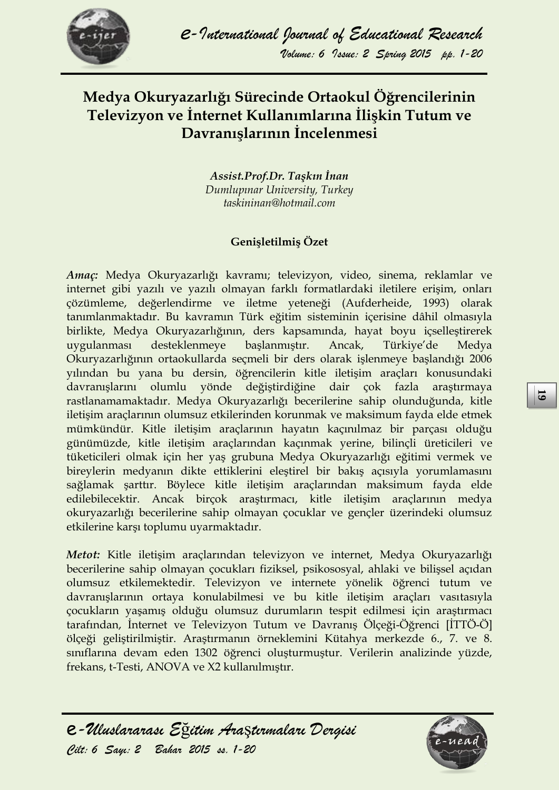

# **Medya Okuryazarlığı Sürecinde Ortaokul Öğrencilerinin Televizyon ve İnternet Kullanımlarına İlişkin Tutum ve Davranışlarının İncelenmesi**

*Assist.Prof.Dr. Taşkın İnan Dumlupınar University, Turkey taskininan@hotmail.com*

### **Genişletilmiş Özet**

rasilanamamaktadır. Medya Okuryazarlığı becerilerine sahip olunduğunda, kitle içisin araçlarının olunsuz ekkilerinden korununak ve maksimum fayda ele etmek<br>mümkündür. Kitle iletişim araçlarının hayatın kaçımlımaz bir parça *Amaç:* Medya Okuryazarlığı kavramı; televizyon, video, sinema, reklamlar ve internet gibi yazılı ve yazılı olmayan farklı formatlardaki iletilere erişim, onları çözümleme, değerlendirme ve iletme yeteneği (Aufderheide, 1993) olarak tanımlanmaktadır. Bu kavramın Türk eğitim sisteminin içerisine dâhil olmasıyla birlikte, Medya Okuryazarlığının, ders kapsamında, hayat boyu içselleştirerek uygulanması desteklenmeye başlanmıştır. Ancak, Türkiye'de Medya Okuryazarlığının ortaokullarda seçmeli bir ders olarak işlenmeye başlandığı 2006 yılından bu yana bu dersin, öğrencilerin kitle iletişim araçları konusundaki davranışlarını olumlu yönde değiştirdiğine dair çok fazla araştırmaya rastlanamamaktadır. Medya Okuryazarlığı becerilerine sahip olunduğunda, kitle iletişim araçlarının olumsuz etkilerinden korunmak ve maksimum fayda elde etmek mümkündür. Kitle iletişim araçlarının hayatın kaçınılmaz bir parçası olduğu günümüzde, kitle iletişim araçlarından kaçınmak yerine, bilinçli üreticileri ve tüketicileri olmak için her yaş grubuna Medya Okuryazarlığı eğitimi vermek ve bireylerin medyanın dikte ettiklerini eleştirel bir bakış açısıyla yorumlamasını sağlamak şarttır. Böylece kitle iletişim araçlarından maksimum fayda elde edilebilecektir. Ancak birçok araştırmacı, kitle iletişim araçlarının medya okuryazarlığı becerilerine sahip olmayan çocuklar ve gençler üzerindeki olumsuz etkilerine karşı toplumu uyarmaktadır.

*Metot:* Kitle iletişim araçlarından televizyon ve internet, Medya Okuryazarlığı becerilerine sahip olmayan çocukları fiziksel, psikososyal, ahlaki ve bilişsel açıdan olumsuz etkilemektedir. Televizyon ve internete yönelik öğrenci tutum ve davranışlarının ortaya konulabilmesi ve bu kitle iletişim araçları vasıtasıyla çocukların yaşamış olduğu olumsuz durumların tespit edilmesi için araştırmacı tarafından, İnternet ve Televizyon Tutum ve Davranış Ölçeği-Öğrenci [İTTÖ-Ö] ölçeği geliştirilmiştir. Araştırmanın örneklemini Kütahya merkezde 6., 7. ve 8. sınıflarına devam eden 1302 öğrenci oluşturmuştur. Verilerin analizinde yüzde, frekans, t-Testi, ANOVA ve X2 kullanılmıştır.

e*-Uluslararası E*ğ*itim Ara*ş*tırmaları Dergisi*